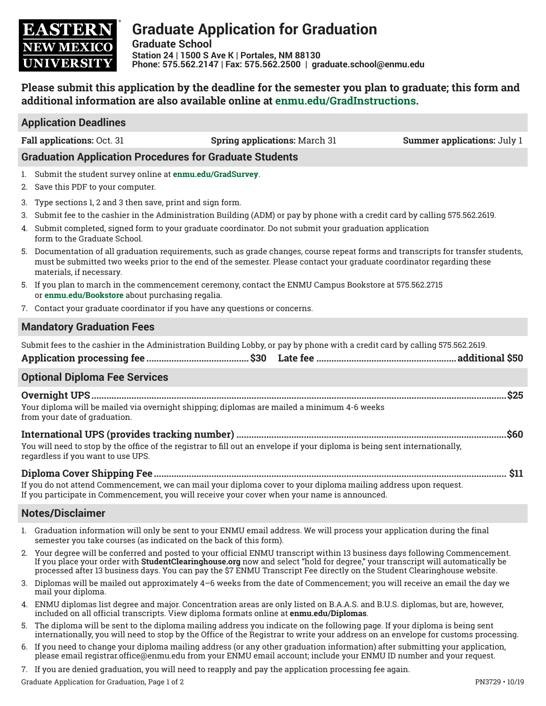

# **Graduate Application for Graduation**

**Graduate School Station 24 | 1500 S Ave K | Portales, NM 88130 Phone: 575.562.2147 | Fax: 575.562.2500 | graduate.school@enmu.edu**

## **Please submit this application by the deadline for the semester you plan to graduate; this form and additional information are also available online at enmu.edu/GradInstructions.**

#### **Application Deadlines**

**Fall applications:** Oct. 31 **Spring applications:** March 31 **Summer applications:** July 1

#### **Graduation Application Procedures for Graduate Students**

- 1. Submit the student survey online at **enmu.edu/GradSurvey**.
- 2. Save this PDF to your computer.
- 3. Type sections 1, 2 and 3 then save, print and sign form.
- 3. Submit fee to the cashier in the Administration Building (ADM) or pay by phone with a credit card by calling 575.562.2619.
- 4. Submit completed, signed form to your graduate coordinator. Do not submit your graduation application form to the Graduate School.
- 5. Documentation of all graduation requirements, such as grade changes, course repeat forms and transcripts for transfer students, must be submitted two weeks prior to the end of the semester. Please contact your graduate coordinator regarding these materials, if necessary.
- 5. If you plan to march in the commencement ceremony, contact the ENMU Campus Bookstore at 575.562.2715 or **enmu.edu/Bookstore** about purchasing regalia.
- 7. Contact your graduate coordinator if you have any questions or concerns.

#### **Mandatory Graduation Fees**

Submit fees to the cashier in the Administration Building Lobby, or pay by phone with a credit card by calling 575.562.2619.

|--|--|

#### **Optional Diploma Fee Services**

**Overnight UPS......................................................................................................................................................................\$25** Your diploma will be mailed via overnight shipping; diplomas are mailed a minimum 4-6 weeks from your date of graduation.

## **International UPS (provides tracking number) ............................................................................................................\$60**

You will need to stop by the office of the registrar to fill out an envelope if your diploma is being sent internationally, regardless if you want to use UPS.

**Diploma Cover Shipping Fee............................................................................................................................................. \$11** If you do not attend Commencement, we can mail your diploma cover to your diploma mailing address upon request.

If you participate in Commencement, you will receive your cover when your name is announced.

## **Notes/Disclaimer**

- 1. Graduation information will only be sent to your ENMU email address. We will process your application during the final semester you take courses (as indicated on the back of this form).
- 2. Your degree will be conferred and posted to your official ENMU transcript within 13 business days following Commencement. If you place your order with **StudentClearinghouse.org** now and select "hold for degree," your transcript will automatically be processed after 13 business days. You can pay the \$7 ENMU Transcript Fee directly on the Student Clearinghouse website.
- 3. Diplomas will be mailed out approximately 4–6 weeks from the date of Commencement; you will receive an email the day we mail your diploma.
- 4. ENMU diplomas list degree and major. Concentration areas are only listed on B.A.A.S. and B.U.S. diplomas, but are, however, included on all official transcripts. View diploma formats online at **enmu.edu/Diplomas**.
- 5. The diploma will be sent to the diploma mailing address you indicate on the following page. If your diploma is being sent internationally, you will need to stop by the Office of the Registrar to write your address on an envelope for customs processing.
- 6. If you need to change your diploma mailing address (or any other graduation information) after submitting your application, please email registrar.office@enmu.edu from your ENMU email account; include your ENMU ID number and your request.
- 7. If you are denied graduation, you will need to reapply and pay the application processing fee again.

Graduate Application for Graduation, Page 1 of 2 PN3729 • 10/19